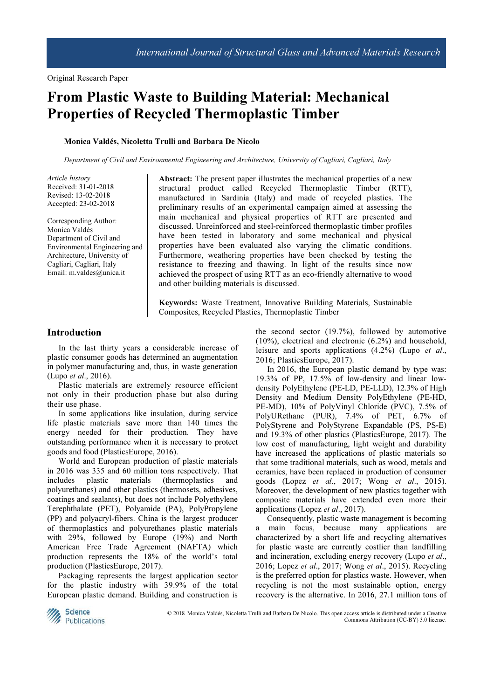# From Plastic Waste to Building Material: Mechanical Properties of Recycled Thermoplastic Timber

### Monica Valdés, Nicoletta Trulli and Barbara De Nicolo

Department of Civil and Environmental Engineering and Architecture, University of Cagliari, Cagliari, Italy

Article history Received: 31-01-2018 Revised: 13-02-2018 Accepted: 23-02-2018

Corresponding Author: Monica Valdés Department of Civil and Environmental Engineering and Architecture, University of Cagliari, Cagliari, Italy Email: m.valdes@unica.it

Abstract: The present paper illustrates the mechanical properties of a new structural product called Recycled Thermoplastic Timber (RTT), manufactured in Sardinia (Italy) and made of recycled plastics. The preliminary results of an experimental campaign aimed at assessing the main mechanical and physical properties of RTT are presented and discussed. Unreinforced and steel-reinforced thermoplastic timber profiles have been tested in laboratory and some mechanical and physical properties have been evaluated also varying the climatic conditions. Furthermore, weathering properties have been checked by testing the resistance to freezing and thawing. In light of the results since now achieved the prospect of using RTT as an eco-friendly alternative to wood and other building materials is discussed.

Keywords: Waste Treatment, Innovative Building Materials, Sustainable Composites, Recycled Plastics, Thermoplastic Timber

# Introduction

In the last thirty years a considerable increase of plastic consumer goods has determined an augmentation in polymer manufacturing and, thus, in waste generation (Lupo et al., 2016).

Plastic materials are extremely resource efficient not only in their production phase but also during their use phase.

In some applications like insulation, during service life plastic materials save more than 140 times the energy needed for their production. They have outstanding performance when it is necessary to protect goods and food (PlasticsEurope, 2016).

World and European production of plastic materials in 2016 was 335 and 60 million tons respectively. That includes plastic materials (thermoplastics and polyurethanes) and other plastics (thermosets, adhesives, coatings and sealants), but does not include Polyethylene Terephthalate (PET), Polyamide (PA), PolyPropylene (PP) and polyacryl-fibers. China is the largest producer of thermoplastics and polyurethanes plastic materials with 29%, followed by Europe (19%) and North American Free Trade Agreement (NAFTA) which production represents the 18% of the world's total production (PlasticsEurope, 2017).

Packaging represents the largest application sector for the plastic industry with 39.9% of the total European plastic demand. Building and construction is the second sector (19.7%), followed by automotive (10%), electrical and electronic (6.2%) and household, leisure and sports applications (4.2%) (Lupo et al., 2016; PlasticsEurope, 2017).

In 2016, the European plastic demand by type was: 19.3% of PP, 17.5% of low-density and linear lowdensity PolyEthylene (PE-LD, PE-LLD), 12.3% of High Density and Medium Density PolyEthylene (PE-HD, PE-MD), 10% of PolyVinyl Chloride (PVC), 7.5% of PolyURethane (PUR), 7.4% of PET, 6.7% of PolyStyrene and PolyStyrene Expandable (PS, PS-E) and 19.3% of other plastics (PlasticsEurope, 2017). The low cost of manufacturing, light weight and durability have increased the applications of plastic materials so that some traditional materials, such as wood, metals and ceramics, have been replaced in production of consumer goods (Lopez et al., 2017; Wong et al., 2015). Moreover, the development of new plastics together with composite materials have extended even more their applications (Lopez et al., 2017).

Consequently, plastic waste management is becoming a main focus, because many applications are characterized by a short life and recycling alternatives for plastic waste are currently costlier than landfilling and incineration, excluding energy recovery (Lupo *et al.*, 2016; Lopez et al., 2017; Wong et al., 2015). Recycling is the preferred option for plastics waste. However, when recycling is not the most sustainable option, energy recovery is the alternative. In 2016, 27.1 million tons of



 © 2018 Monica Valdés, Nicoletta Trulli and Barbara De Nicolo. This open access article is distributed under a Creative Commons Attribution (CC-BY) 3.0 license.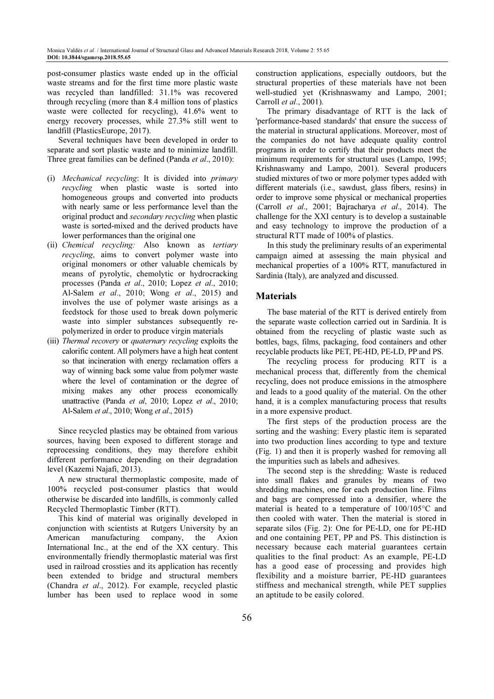post-consumer plastics waste ended up in the official waste streams and for the first time more plastic waste was recycled than landfilled: 31.1% was recovered through recycling (more than 8.4 million tons of plastics waste were collected for recycling), 41.6% went to energy recovery processes, while 27.3% still went to landfill (PlasticsEurope, 2017).

Several techniques have been developed in order to separate and sort plastic waste and to minimize landfill. Three great families can be defined (Panda et al., 2010):

- (i) Mechanical recycling: It is divided into primary recycling when plastic waste is sorted into homogeneous groups and converted into products with nearly same or less performance level than the original product and secondary recycling when plastic waste is sorted-mixed and the derived products have lower performances than the original one
- (ii) Chemical recycling: Also known as tertiary recycling, aims to convert polymer waste into original monomers or other valuable chemicals by means of pyrolytic, chemolytic or hydrocracking processes (Panda et al., 2010; Lopez et al., 2010; Al-Salem et al., 2010; Wong et al., 2015) and involves the use of polymer waste arisings as a feedstock for those used to break down polymeric waste into simpler substances subsequently repolymerized in order to produce virgin materials
- (iii) Thermal recovery or quaternary recycling exploits the calorific content. All polymers have a high heat content so that incineration with energy reclamation offers a way of winning back some value from polymer waste where the level of contamination or the degree of mixing makes any other process economically unattractive (Panda et al, 2010; Lopez et al., 2010; Al-Salem et al., 2010; Wong et al., 2015)

Since recycled plastics may be obtained from various sources, having been exposed to different storage and reprocessing conditions, they may therefore exhibit different performance depending on their degradation level (Kazemi Najafi, 2013).

A new structural thermoplastic composite, made of 100% recycled post-consumer plastics that would otherwise be discarded into landfills, is commonly called Recycled Thermoplastic Timber (RTT).

This kind of material was originally developed in conjunction with scientists at Rutgers University by an American manufacturing company, the Axion International Inc., at the end of the XX century. This environmentally friendly thermoplastic material was first used in railroad crossties and its application has recently been extended to bridge and structural members (Chandra et al., 2012). For example, recycled plastic lumber has been used to replace wood in some

construction applications, especially outdoors, but the structural properties of these materials have not been well-studied yet (Krishnaswamy and Lampo, 2001; Carroll et al., 2001).

The primary disadvantage of RTT is the lack of 'performance-based standards' that ensure the success of the material in structural applications. Moreover, most of the companies do not have adequate quality control programs in order to certify that their products meet the minimum requirements for structural uses (Lampo, 1995; Krishnaswamy and Lampo, 2001). Several producers studied mixtures of two or more polymer types added with different materials (i.e., sawdust, glass fibers, resins) in order to improve some physical or mechanical properties (Carroll et al., 2001; Bajracharya et al., 2014). The challenge for the XXI century is to develop a sustainable and easy technology to improve the production of a structural RTT made of 100% of plastics.

In this study the preliminary results of an experimental campaign aimed at assessing the main physical and mechanical properties of a 100% RTT, manufactured in Sardinia (Italy), are analyzed and discussed.

# **Materials**

The base material of the RTT is derived entirely from the separate waste collection carried out in Sardinia. It is obtained from the recycling of plastic waste such as bottles, bags, films, packaging, food containers and other recyclable products like PET, PE-HD, PE-LD, PP and PS.

The recycling process for producing RTT is a mechanical process that, differently from the chemical recycling, does not produce emissions in the atmosphere and leads to a good quality of the material. On the other hand, it is a complex manufacturing process that results in a more expensive product.

The first steps of the production process are the sorting and the washing: Every plastic item is separated into two production lines according to type and texture (Fig. 1) and then it is properly washed for removing all the impurities such as labels and adhesives.

The second step is the shredding: Waste is reduced into small flakes and granules by means of two shredding machines, one for each production line. Films and bags are compressed into a densifier, where the material is heated to a temperature of 100/105°C and then cooled with water. Then the material is stored in separate silos (Fig. 2): One for PE-LD, one for PE-HD and one containing PET, PP and PS. This distinction is necessary because each material guarantees certain qualities to the final product: As an example, PE-LD has a good ease of processing and provides high flexibility and a moisture barrier, PE-HD guarantees stiffness and mechanical strength, while PET supplies an aptitude to be easily colored.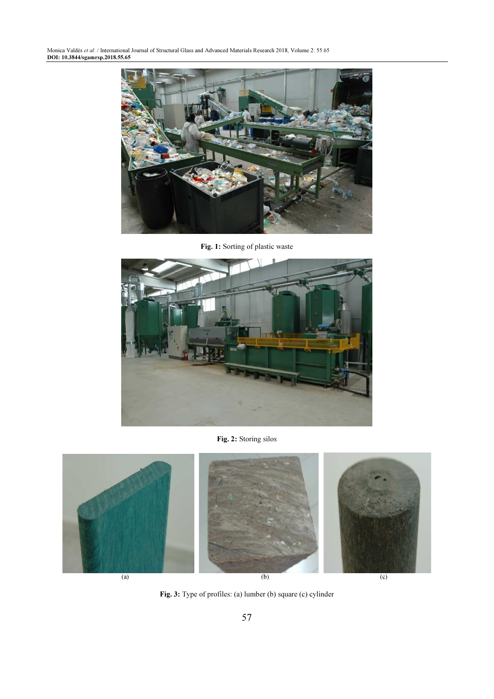Monica Valdés et al. / International Journal of Structural Glass and Advanced Materials Research 2018, Volume 2: 55.65 DOI: 10.3844/sgamrsp.2018.55.65



Fig. 1: Sorting of plastic waste



Fig. 2: Storing silos



Fig. 3: Type of profiles: (a) lumber (b) square (c) cylinder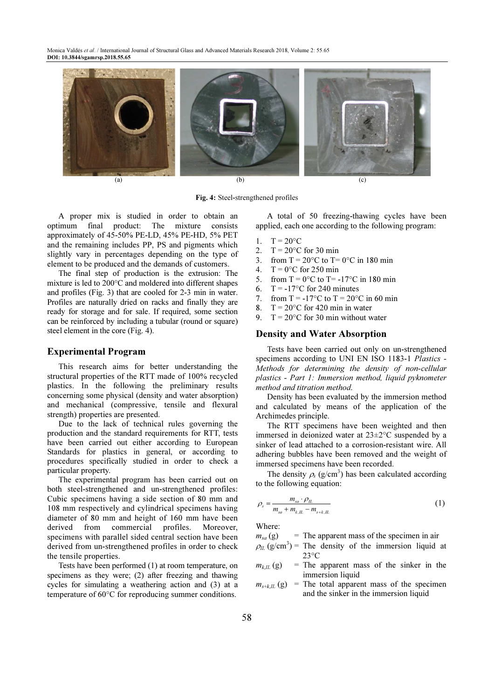Monica Valdés et al. / International Journal of Structural Glass and Advanced Materials Research 2018, Volume 2: 55.65 DOI: 10.3844/sgamrsp.2018.55.65



Fig. 4: Steel-strengthened profiles

A proper mix is studied in order to obtain an optimum final product: The mixture consists approximately of 45-50% PE-LD, 45% PE-HD, 5% PET and the remaining includes PP, PS and pigments which slightly vary in percentages depending on the type of element to be produced and the demands of customers.

The final step of production is the extrusion: The mixture is led to 200°C and moldered into different shapes and profiles (Fig. 3) that are cooled for 2-3 min in water. Profiles are naturally dried on racks and finally they are ready for storage and for sale. If required, some section can be reinforced by including a tubular (round or square) steel element in the core (Fig. 4).

# Experimental Program

This research aims for better understanding the structural properties of the RTT made of 100% recycled plastics. In the following the preliminary results concerning some physical (density and water absorption) and mechanical (compressive, tensile and flexural strength) properties are presented.

Due to the lack of technical rules governing the production and the standard requirements for RTT, tests have been carried out either according to European Standards for plastics in general, or according to procedures specifically studied in order to check a particular property.

The experimental program has been carried out on both steel-strengthened and un-strengthened profiles: Cubic specimens having a side section of 80 mm and 108 mm respectively and cylindrical specimens having diameter of 80 mm and height of 160 mm have been derived from commercial profiles. Moreover, specimens with parallel sided central section have been derived from un-strengthened profiles in order to check the tensile properties.

Tests have been performed (1) at room temperature, on specimens as they were; (2) after freezing and thawing cycles for simulating a weathering action and (3) at a temperature of 60°C for reproducing summer conditions.

A total of 50 freezing-thawing cycles have been applied, each one according to the following program:

- 1.  $T = 20^{\circ}C$
- 2.  $T = 20^{\circ}C$  for 30 min
- 3. from  $T = 20^{\circ}$ C to  $T = 0^{\circ}$ C in 180 min
- 4.  $T = 0$ °C for 250 min
- 5. from  $T = 0$ °C to  $T = -17$ °C in 180 min
- 6.  $T = -17^{\circ}$ C for 240 minutes
- 7. from  $T = -17^{\circ}$ C to  $T = 20^{\circ}$ C in 60 min
- 8.  $T = 20^{\circ}$ C for 420 min in water
- $T = 20^{\circ}$ C for 30 min without water

# Density and Water Absorption

Tests have been carried out only on un-strengthened specimens according to UNI EN ISO 1183-1 Plastics -Methods for determining the density of non-cellular plastics - Part 1: Immersion method, liquid pyknometer method and titration method.

Density has been evaluated by the immersion method and calculated by means of the application of the Archimedes principle.

The RTT specimens have been weighted and then immersed in deionized water at 23±2°C suspended by a sinker of lead attached to a corrosion-resistant wire. All adhering bubbles have been removed and the weight of immersed specimens have been recorded.

The density  $\rho_s$  (g/cm<sup>3</sup>) has been calculated according to the following equation:

$$
\rho_s = \frac{m_{sa} \cdot \rho_{IL}}{m_{sa} + m_{k,IL} - m_{s+k,IL}}
$$
(1)

Where:

 $m_{sa}$  (g) = The apparent mass of the specimen in air

- $\rho$ <sub>IL</sub> (g/cm<sup>3</sup>) = The density of the immersion liquid at  $23^{\circ}$ C
- $m_{k,\text{IL}}(g)$  = The apparent mass of the sinker in the immersion liquid
- $m_{s+k,IL}$  (g) = The total apparent mass of the specimen and the sinker in the immersion liquid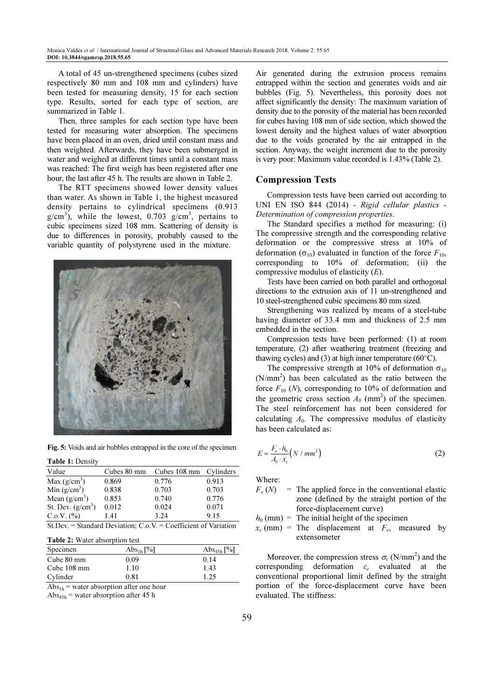A total of 45 un-strengthened specimens (cubes sized respectively 80 mm and 108 mm and cylinders) have been tested for measuring density, 15 for each section type. Results, sorted for each type of section, are summarized in Table 1.

Then, three samples for each section type have been tested for measuring water absorption. The specimens have been placed in an oven, dried until constant mass and then weighted. Afterwards, they have been submerged in water and weighed at different times until a constant mass was reached: The first weigh has been registered after one hour, the last after 45 h. The results are shown in Table 2.

The RTT specimens showed lower density values than water. As shown in Table 1, the highest measured density pertains to cylindrical specimens (0.913  $g/cm<sup>3</sup>$ ), while the lowest, 0.703  $g/cm<sup>3</sup>$ , pertains to cubic specimens sized 108 mm. Scattering of density is due to differences in porosity, probably caused to the variable quantity of polystyrene used in the mixture.

![](_page_4_Picture_4.jpeg)

Fig. 5: Voids and air bubbles entrapped in the core of the specimen

#### Table 1: Density

| Value                                                                 | Cubes 80 mm | Cubes 108 mm Cylinders |       |
|-----------------------------------------------------------------------|-------------|------------------------|-------|
| Max $(g/cm^3)$                                                        | 0.869       | 0.776                  | 0.913 |
| Min $(g/cm^3)$                                                        | 0.838       | 0.703                  | 0.703 |
| Mean $(g/cm^3)$                                                       | 0.853       | 0.740                  | 0.776 |
| St. Dev. $(g/cm^3)$                                                   | 0.012       | 0.024                  | 0.071 |
| C.0.V. (%)                                                            | 1.41        | 3.24                   | 9.15  |
| St.Dev. = Standard Deviation: $C_{.0}$ .V. = Coefficient of Variation |             |                        |       |

# Table 2: Water absorption test

| Specimen              | $\mathrm{Abs}_{1\mathrm{h}}$ [%] | Abs <sub>45h</sub> [%] |
|-----------------------|----------------------------------|------------------------|
| Cube 80 mm            | 0.09                             | 0.14                   |
| Cube $108 \text{ mm}$ | 1.10                             | 1.43                   |
| Cylinder              | 0.81                             | 1.25                   |

 $\overline{Abs}_{1h}$  = water absorption after one hour

 $Abs_{45h}$  = water absorption after 45 h

Air generated during the extrusion process remains entrapped within the section and generates voids and air bubbles (Fig. 5). Nevertheless, this porosity does not affect significantly the density: The maximum variation of density due to the porosity of the material has been recorded for cubes having 108 mm of side section, which showed the lowest density and the highest values of water absorption due to the voids generated by the air entrapped in the section. Anyway, the weight increment due to the porosity is very poor: Maximum value recorded is 1.43% (Table 2).

#### Compression Tests

Compression tests have been carried out according to UNI EN ISO 844 (2014) - Rigid cellular plastics - Determination of compression properties.

The Standard specifies a method for measuring: (i) The compressive strength and the corresponding relative deformation or the compressive stress at 10% of deformation ( $\sigma_{10}$ ) evaluated in function of the force  $F_{10}$ , corresponding to 10% of deformation; (ii) the compressive modulus of elasticity  $(E)$ .

Tests have been carried on both parallel and orthogonal directions to the extrusion axis of 11 un-strengthened and 10 steel-strengthened cubic specimens 80 mm sized.

Strengthening was realized by means of a steel-tube having diameter of 33.4 mm and thickness of 2.5 mm embedded in the section.

Compression tests have been performed: (1) at room temperature, (2) after weathering treatment (freezing and thawing cycles) and (3) at high inner temperature (60 $^{\circ}$ C).

The compressive strength at 10% of deformation  $\sigma_{10}$  $(N/mm<sup>2</sup>)$  has been calculated as the ratio between the force  $F_{10}$  (N), corresponding to 10% of deformation and the geometric cross section  $A_0$  (mm<sup>2</sup>) of the specimen. The steel reinforcement has not been considered for calculating  $A_0$ . The compressive modulus of elasticity has been calculated as:

$$
E = \frac{F_e \cdot h_0}{A_0 \cdot x_e} \left( N / \, mm^2 \right) \tag{2}
$$

Where:

 $F_e(N)$  $=$  The applied force in the conventional elastic zone (defined by the straight portion of the force-displacement curve)

 $h_0$  (mm) = The initial height of the specimen

 $x_e$  (mm) = The displacement at  $F_e$ , measured by extensometer

Moreover, the compression stress  $\sigma_e$  (N/mm<sup>2</sup>) and the corresponding deformation  $\varepsilon_e$  evaluated at the conventional proportional limit defined by the straight portion of the force-displacement curve have been evaluated. The stiffness: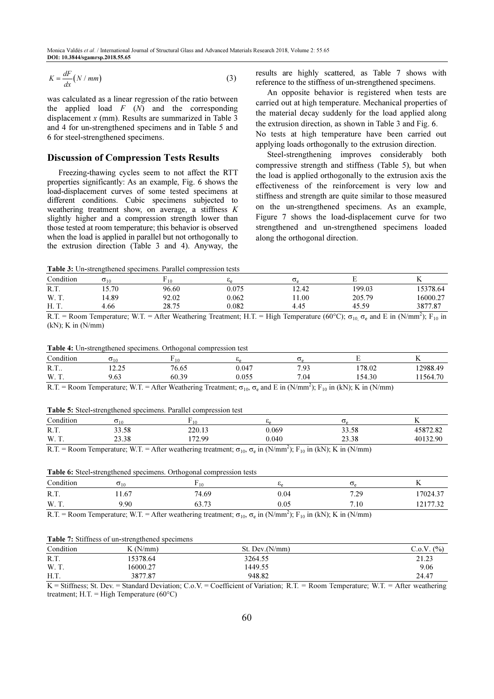$$
K = \frac{dF}{dx}(N/mm) \tag{3}
$$

was calculated as a linear regression of the ratio between the applied load  $F(N)$  and the corresponding displacement  $x$  (mm). Results are summarized in Table 3 and 4 for un-strengthened specimens and in Table 5 and 6 for steel-strengthened specimens.

# Discussion of Compression Tests Results

Freezing-thawing cycles seem to not affect the RTT properties significantly: As an example, Fig. 6 shows the load-displacement curves of some tested specimens at different conditions. Cubic specimens subjected to weathering treatment show, on average, a stiffness K slightly higher and a compression strength lower than those tested at room temperature; this behavior is observed when the load is applied in parallel but not orthogonally to the extrusion direction (Table 3 and 4). Anyway, the

results are highly scattered, as Table 7 shows with reference to the stiffness of un-strengthened specimens.

An opposite behavior is registered when tests are carried out at high temperature. Mechanical properties of the material decay suddenly for the load applied along the extrusion direction, as shown in Table 3 and Fig. 6. No tests at high temperature have been carried out applying loads orthogonally to the extrusion direction.

Steel-strengthening improves considerably both compressive strength and stiffness (Table 5), but when the load is applied orthogonally to the extrusion axis the effectiveness of the reinforcement is very low and stiffness and strength are quite similar to those measured on the un-strengthened specimens. As an example, Figure 7 shows the load-displacement curve for two strengthened and un-strengthened specimens loaded along the orthogonal direction.

Table 3: Un-strengthened specimens. Parallel compression tests

| Condition     | $\sigma_{10}$  | . 10          | ്ക    | $\mathbf{U}$ |                                                              |          |
|---------------|----------------|---------------|-------|--------------|--------------------------------------------------------------|----------|
| R.T.          | 15.70          | 96.60         | 0.075 | 12.42        | 199.03                                                       | 15378.64 |
| W. T.         | 14.89          | 92.02         | 0.062 | 1.00         | 205.79                                                       | 16000.27 |
| H. T.         | 4.66           | 28.75         | 0.082 | 4.45         | 45.59                                                        | 3877.87  |
| ___<br>$\sim$ | $\sim$<br>____ | $\sim$ $\sim$ |       | ------       | $\sim$ $\sim$ $\sim$<br>a company and service to the company | $\sim$   |

R.T. = Room Temperature; W.T. = After Weathering Treatment; H.T. = High Temperature (60°C);  $\sigma_{10}$ ,  $\sigma_e$  and E in (N/mm<sup>2</sup>); F<sub>10</sub> in (kN); K in (N/mm)

| <b>Table 4:</b> Un-strengthened specimens. Orthogonal compression test |  |
|------------------------------------------------------------------------|--|
|------------------------------------------------------------------------|--|

| 0.111<br>Condition | $\mathbf{O}_{10}$             |       | ပေ    |             |        |          |
|--------------------|-------------------------------|-------|-------|-------------|--------|----------|
| R.T.               | $\sim$ $\sim$ $\sim$<br>14.LJ | 76.65 | 0.047 | 7 Q3<br>ر . | 178.02 | 12988.49 |
| W. T.              | 9.63                          | 60.39 | 0.055 | 7.04        | 154.30 | 11564.70 |
|                    |                               |       |       |             |        |          |

R.T. = Room Temperature; W.T. = After Weathering Treatment;  $\sigma_{10}$ ,  $\sigma_e$  and E in (N/mm<sup>2</sup>); F<sub>10</sub> in (kN); K in (N/mm)

Table 5: Steel-strengthened specimens. Parallel compression test

| $\cdots$<br>Condition | $\mathbf{0}_{10}$                                        |                  |                      | .                             |                     |
|-----------------------|----------------------------------------------------------|------------------|----------------------|-------------------------------|---------------------|
| R.T.                  | 33.58                                                    | 220.13           | 0.069                | 33.58                         | 1507200<br>430/2.02 |
| W. T.                 | 23.38                                                    | 172.00<br>$\sim$ | 0.040                | $\sim$<br>$\gamma$ Q<br>25.SO | 40132.90            |
| $\sim$                | <b><i><u>Property Contracts</u></i></b><br>$\sim$ $\sim$ |                  | $\sim$ $\sim$ $\sim$ | .                             |                     |

R.T. = Room Temperature; W.T. = After weathering treatment;  $\sigma_{10}$ ,  $\sigma_e$  in (N/mm<sup>2</sup>); F<sub>10</sub> in (kN); K in (N/mm)

| Table 6: Steel-strengthened specimens. Orthogonal compression tests |  |  |
|---------------------------------------------------------------------|--|--|
|                                                                     |  |  |
|                                                                     |  |  |

| Condition | $\sigma_{10}$ | 10.   | .             | ے ب          |                                |
|-----------|---------------|-------|---------------|--------------|--------------------------------|
| R.T.      | 1.67          | 74.69 | $_{\rm 0.04}$ | 72c<br>ر ۱.۲ | 17024.5<br>$\sim$              |
| W. T.     | 2.90          | 63.73 | $_{0.05}$     | 7.10         | 121772<br>ے د. ا<br>$1 \leq 1$ |
|           |               |       |               |              |                                |

R.T. = Room Temperature; W.T. = After weathering treatment;  $\sigma_{10}$ ,  $\sigma_e$  in (N/mm<sup>2</sup>); F<sub>10</sub> in (kN); K in (N/mm)

#### Table 7: Stiffness of un-strengthened specimens

| Condition | (N/mm)   | St. Dev.(N/mm) | $\sim 0. V$<br>(9/0)<br>. . |
|-----------|----------|----------------|-----------------------------|
| R.T.      | 5378.64  | 3264.55        | 21.23                       |
| W. T.     | 16000.27 | 1449.55        | 9.06                        |
| H.T.      | 3877.87  | 948.82         | 24.47                       |

K = Stiffness; St. Dev. = Standard Deviation; C.o.V. = Coefficient of Variation; R.T. = Room Temperature; W.T. = After weathering treatment; H.T. = High Temperature  $(60^{\circ}C)$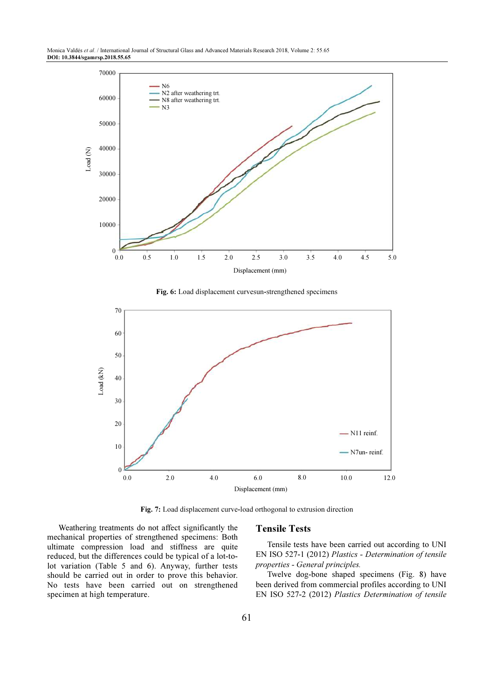Monica Valdés et al. / International Journal of Structural Glass and Advanced Materials Research 2018, Volume 2: 55.65 DOI: 10.3844/sgamrsp.2018.55.65

![](_page_6_Figure_1.jpeg)

Fig. 6: Load displacement curvesun-strengthened specimens

![](_page_6_Figure_3.jpeg)

Fig. 7: Load displacement curve-load orthogonal to extrusion direction

Weathering treatments do not affect significantly the mechanical properties of strengthened specimens: Both ultimate compression load and stiffness are quite reduced, but the differences could be typical of a lot-tolot variation (Table 5 and 6). Anyway, further tests should be carried out in order to prove this behavior. No tests have been carried out on strengthened specimen at high temperature.

### Tensile Tests

Tensile tests have been carried out according to UNI EN ISO 527-1 (2012) Plastics - Determination of tensile properties - General principles.

Twelve dog-bone shaped specimens (Fig. 8) have been derived from commercial profiles according to UNI EN ISO 527-2 (2012) Plastics Determination of tensile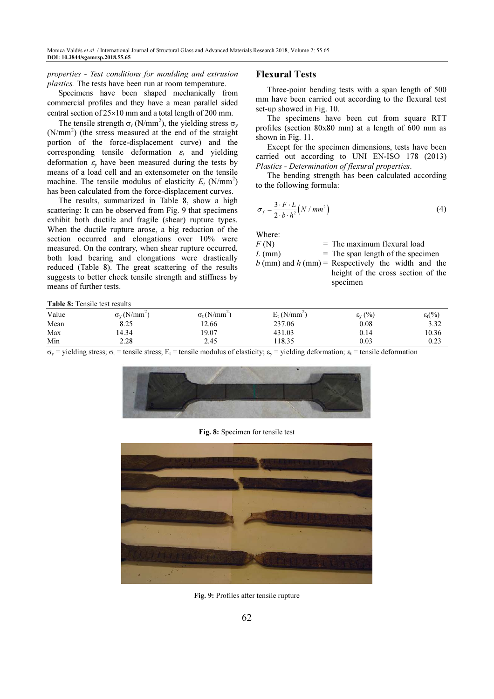properties - Test conditions for moulding and extrusion plastics. The tests have been run at room temperature.

Specimens have been shaped mechanically from commercial profiles and they have a mean parallel sided central section of 25×10 mm and a total length of 200 mm.

The tensile strength  $\sigma_t$  (N/mm<sup>2</sup>), the yielding stress  $\sigma_y$ (N/mm<sup>2</sup>) (the stress measured at the end of the straight portion of the force-displacement curve) and the corresponding tensile deformation  $\varepsilon_t$  and yielding deformation  $\varepsilon_y$  have been measured during the tests by means of a load cell and an extensometer on the tensile machine. The tensile modulus of elasticity  $E_t$  (N/mm<sup>2</sup>) has been calculated from the force-displacement curves.

The results, summarized in Table 8, show a high scattering: It can be observed from Fig. 9 that specimens exhibit both ductile and fragile (shear) rupture types. When the ductile rupture arose, a big reduction of the section occurred and elongations over 10% were measured. On the contrary, when shear rupture occurred, both load bearing and elongations were drastically reduced (Table 8). The great scattering of the results suggests to better check tensile strength and stiffness by means of further tests.

# Flexural Tests

Three-point bending tests with a span length of 500 mm have been carried out according to the flexural test set-up showed in Fig. 10.

The specimens have been cut from square RTT profiles (section 80x80 mm) at a length of 600 mm as shown in Fig. 11.

Except for the specimen dimensions, tests have been carried out according to UNI EN-ISO 178 (2013) Plastics - Determination of flexural properties.

The bending strength has been calculated according to the following formula:

$$
\sigma_f = \frac{3 \cdot F \cdot L}{2 \cdot b \cdot h^2} \left( N / \, mm^2 \right) \tag{4}
$$

Where:

| F(N)     | $=$ The maximum flexural load       |
|----------|-------------------------------------|
| $L$ (mm) | $=$ The span length of the specimen |

 $b$  (mm) and  $h$  (mm) = Respectively the width and the height of the cross section of the specimen

Table 8: Tensile test results

| Value | $\sigma_{v}$ (N/mm <sup>2</sup> ) | $\Delta I$<br>∆/mm^ | $N/mm^2$<br>مسد | (9/0)<br>ابتح | $\varepsilon(t)$ |
|-------|-----------------------------------|---------------------|-----------------|---------------|------------------|
| Mean  | 8.25                              | 12.66               | 237.06          | 0.08          | 3.32             |
| Max   | 4.34                              | 19.07               | 431.03          | 0.14          | 10.36            |
| Min   | 2.28                              | 2.45                | 18.35           | $\rm 0.03$    | $_{0.23}$        |

 $\sigma_y$  = yielding stress;  $\sigma_t$  = tensile stress; E<sub>t</sub> = tensile modulus of elasticity;  $\varepsilon_y$  = yielding deformation;  $\varepsilon_t$  = tensile deformation

![](_page_7_Picture_17.jpeg)

Fig. 8: Specimen for tensile test

![](_page_7_Picture_19.jpeg)

Fig. 9: Profiles after tensile rupture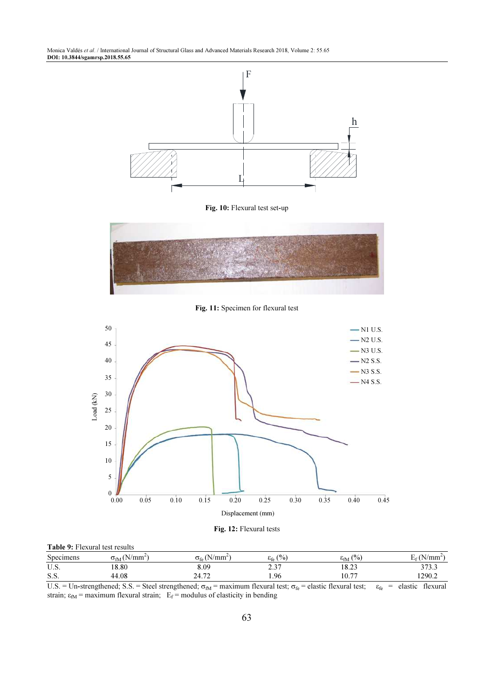Monica Valdés et al. / International Journal of Structural Glass and Advanced Materials Research 2018, Volume 2: 55.65 DOI: 10.3844/sgamrsp.2018.55.65

![](_page_8_Figure_1.jpeg)

Fig. 10: Flexural test set-up

![](_page_8_Figure_3.jpeg)

Fig. 11: Specimen for flexural test

![](_page_8_Figure_5.jpeg)

Fig. 12: Flexural tests

| <b>Table 9:</b> Flexural test results |                                           |                                        |                                             |                        |                  |  |
|---------------------------------------|-------------------------------------------|----------------------------------------|---------------------------------------------|------------------------|------------------|--|
| Specimens                             | $\sigma_{\text{fM}}$ (N/mm <sup>2</sup> ) | $\sigma_{\rm fe}$ (N/mm <sup>2</sup> ) | $\frac{(0)}{0}$<br>$\varepsilon_{\rm fe}$ ( | $\varepsilon_{fM}$ (%) | $\frac{N}{mm}$ , |  |
| U.S.                                  | 18.80                                     | 8.09                                   | 2.37                                        | 18.23                  | 373.3            |  |
| S.S.                                  | 44.08                                     | 24.72                                  | 1.96                                        | 10.77                  | 1290.2           |  |

U.S. = Un-strengthened; S.S. = Steel strengthened;  $\sigma_{fM}$  = maximum flexural test;  $\sigma_{fe}$  = elastic flexural test;  $\epsilon_{fe}$  = elastic flexural strain;  $\varepsilon_{fM}$  = maximum flexural strain;  $E_f$  = modulus of elasticity in bending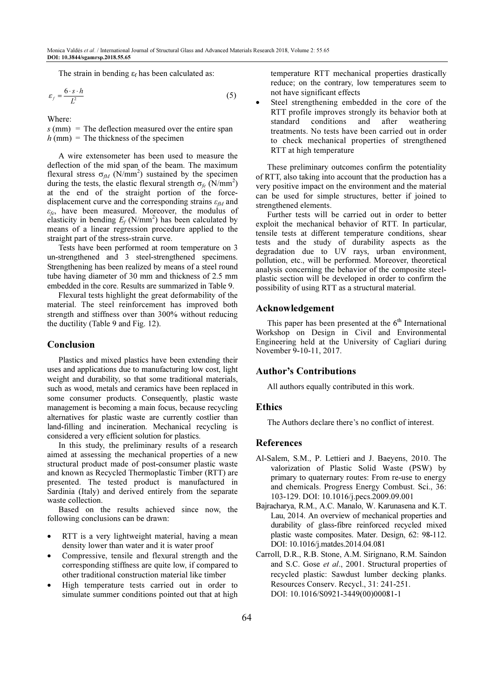The strain in bending  $\varepsilon_f$  has been calculated as:

$$
\varepsilon_f = \frac{6 \cdot s \cdot h}{L^2} \tag{5}
$$

Where:

 $s$  (mm) = The deflection measured over the entire span  $h$  (mm) = The thickness of the specimen

A wire extensometer has been used to measure the deflection of the mid span of the beam. The maximum flexural stress  $\sigma_{fM}$  (N/mm<sup>2</sup>) sustained by the specimen during the tests, the elastic flexural strength  $\sigma_{fe}$  (N/mm<sup>2</sup>) at the end of the straight portion of the forcedisplacement curve and the corresponding strains  $\varepsilon_M$  and  $\varepsilon_f$ , have been measured. Moreover, the modulus of elasticity in bending  $E_f$  (N/mm<sup>2</sup>) has been calculated by means of a linear regression procedure applied to the straight part of the stress-strain curve.

Tests have been performed at room temperature on 3 un-strengthened and 3 steel-strengthened specimens. Strengthening has been realized by means of a steel round tube having diameter of 30 mm and thickness of 2.5 mm embedded in the core. Results are summarized in Table 9.

Flexural tests highlight the great deformability of the material. The steel reinforcement has improved both strength and stiffness over than 300% without reducing the ductility (Table 9 and Fig. 12).

### Conclusion

Plastics and mixed plastics have been extending their uses and applications due to manufacturing low cost, light weight and durability, so that some traditional materials, such as wood, metals and ceramics have been replaced in some consumer products. Consequently, plastic waste management is becoming a main focus, because recycling alternatives for plastic waste are currently costlier than land-filling and incineration. Mechanical recycling is considered a very efficient solution for plastics.

In this study, the preliminary results of a research aimed at assessing the mechanical properties of a new structural product made of post-consumer plastic waste and known as Recycled Thermoplastic Timber (RTT) are presented. The tested product is manufactured in Sardinia (Italy) and derived entirely from the separate waste collection.

Based on the results achieved since now, the following conclusions can be drawn:

- RTT is a very lightweight material, having a mean density lower than water and it is water proof
- Compressive, tensile and flexural strength and the corresponding stiffness are quite low, if compared to other traditional construction material like timber
- High temperature tests carried out in order to simulate summer conditions pointed out that at high

temperature RTT mechanical properties drastically reduce; on the contrary, low temperatures seem to not have significant effects

Steel strengthening embedded in the core of the RTT profile improves strongly its behavior both at standard conditions and after weathering treatments. No tests have been carried out in order to check mechanical properties of strengthened RTT at high temperature

These preliminary outcomes confirm the potentiality of RTT, also taking into account that the production has a very positive impact on the environment and the material can be used for simple structures, better if joined to strengthened elements.

Further tests will be carried out in order to better exploit the mechanical behavior of RTT. In particular, tensile tests at different temperature conditions, shear tests and the study of durability aspects as the degradation due to UV rays, urban environment, pollution, etc., will be performed. Moreover, theoretical analysis concerning the behavior of the composite steelplastic section will be developed in order to confirm the possibility of using RTT as a structural material.

# Acknowledgement

This paper has been presented at the  $6<sup>th</sup>$  International Workshop on Design in Civil and Environmental Engineering held at the University of Cagliari during November 9-10-11, 2017.

#### Author's Contributions

All authors equally contributed in this work.

# **Ethics**

The Authors declare there's no conflict of interest.

# **References**

- Al-Salem, S.M., P. Lettieri and J. Baeyens, 2010. The valorization of Plastic Solid Waste (PSW) by primary to quaternary routes: From re-use to energy and chemicals. Progress Energy Combust. Sci., 36: 103-129. DOI: 10.1016/j.pecs.2009.09.001
- Bajracharya, R.M., A.C. Manalo, W. Karunasena and K.T. Lau, 2014. An overview of mechanical properties and durability of glass-fibre reinforced recycled mixed plastic waste composites. Mater. Design, 62: 98-112. DOI: 10.1016/j.matdes.2014.04.081
- Carroll, D.R., R.B. Stone, A.M. Sirignano, R.M. Saindon and S.C. Gose et al., 2001. Structural properties of recycled plastic: Sawdust lumber decking planks. Resources Conserv. Recycl., 31: 241-251. DOI: 10.1016/S0921-3449(00)00081-1